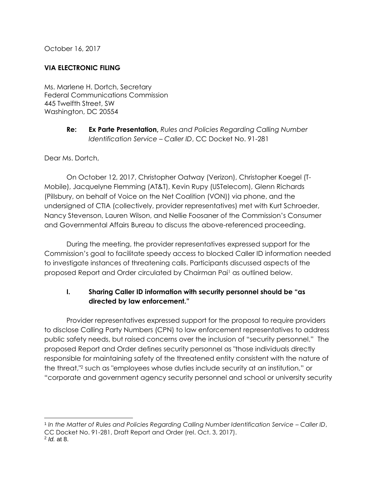October 16, 2017

## **VIA ELECTRONIC FILING**

Ms. Marlene H. Dortch, Secretary Federal Communications Commission 445 Twelfth Street, SW Washington, DC 20554

> **Re: Ex Parte Presentation,** *Rules and Policies Regarding Calling Number Identification Service – Caller ID*, CC Docket No. 91-281

Dear Ms. Dortch,

On October 12, 2017, Christopher Oatway (Verizon), Christopher Koegel (T-Mobile), Jacquelyne Flemming (AT&T), Kevin Rupy (USTelecom), Glenn Richards (Pillsbury, on behalf of Voice on the Net Coalition (VON)) via phone, and the undersigned of CTIA (collectively, provider representatives) met with Kurt Schroeder, Nancy Stevenson, Lauren Wilson, and Nellie Foosaner of the Commission's Consumer and Governmental Affairs Bureau to discuss the above-referenced proceeding.

During the meeting, the provider representatives expressed support for the Commission's goal to facilitate speedy access to blocked Caller ID information needed to investigate instances of threatening calls. Participants discussed aspects of the proposed Report and Order circulated by Chairman Pai<sup>1</sup> as outlined below.

## **I. Sharing Caller ID information with security personnel should be "as directed by law enforcement."**

Provider representatives expressed support for the proposal to require providers to disclose Calling Party Numbers (CPN) to law enforcement representatives to address public safety needs, but raised concerns over the inclusion of "security personnel." The proposed Report and Order defines security personnel as "those individuals directly responsible for maintaining safety of the threatened entity consistent with the nature of the threat,"<sup>2</sup> such as "employees whose duties include security at an institution," or "corporate and government agency security personnel and school or university security

1 *In the Matter of Rules and Policies Regarding Calling Number Identification Service – Caller ID*, CC Docket No. 91-281, Draft Report and Order (rel. Oct. 3, 2017).

l

<sup>2</sup> *Id.* at 8.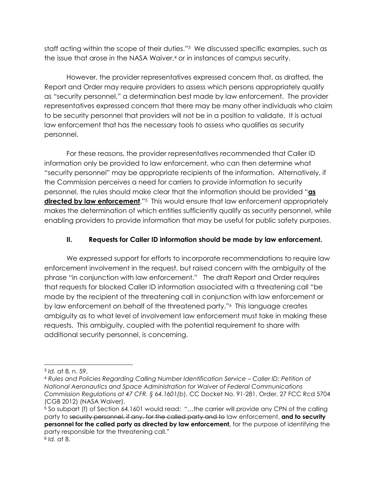staff acting within the scope of their duties."<sup>3</sup> We discussed specific examples, such as the issue that arose in the NASA Waiver,<sup>4</sup> or in instances of campus security.

However, the provider representatives expressed concern that, as drafted, the Report and Order may require providers to assess which persons appropriately qualify as "security personnel," a determination best made by law enforcement. The provider representatives expressed concern that there may be many other individuals who claim to be security personnel that providers will not be in a position to validate. It is actual law enforcement that has the necessary tools to assess who qualifies as security personnel.

For these reasons, the provider representatives recommended that Caller ID information only be provided to law enforcement, who can then determine what "security personnel" may be appropriate recipients of the information. Alternatively, if the Commission perceives a need for carriers to provide information to security personnel, the rules should make clear that the information should be provided "**as directed by law enforcement**."<sup>5</sup> This would ensure that law enforcement appropriately makes the determination of which entities sufficiently qualify as security personnel, while enabling providers to provide information that may be useful for public safety purposes.

## **II. Requests for Caller ID information should be made by law enforcement.**

We expressed support for efforts to incorporate recommendations to require law enforcement involvement in the request, but raised concern with the ambiguity of the phrase "in conjunction with law enforcement." The draft Report and Order requires that requests for blocked Caller ID information associated with a threatening call "be made by the recipient of the threatening call in conjunction with law enforcement or by law enforcement on behalf of the threatened party."<sup>6</sup> This language creates ambiguity as to what level of involvement law enforcement must take in making these requests. This ambiguity, coupled with the potential requirement to share with additional security personnel, is concerning.

l

<sup>3</sup> *Id.* at 8, n. 59.

<sup>4</sup> *Rules and Policies Regarding Calling Number Identification Service – Caller ID; Petition of National Aeronautics and Space Administration for Waiver of Federal Communications Commission Regulations at 47 CFR. § 64.1601(b*), CC Docket No. 91-281, Order, 27 FCC Rcd 5704 (CGB 2012) (NASA Waiver).

<sup>5</sup> So subpart (f) of Section 64.1601 would read: "…the carrier will provide any CPN of the calling party to security personnel, if any, for the called party and to law enforcement, **and to security personnel for the called party as directed by law enforcement,** for the purpose of identifying the party responsible for the threatening call." 6 *Id.* at 8.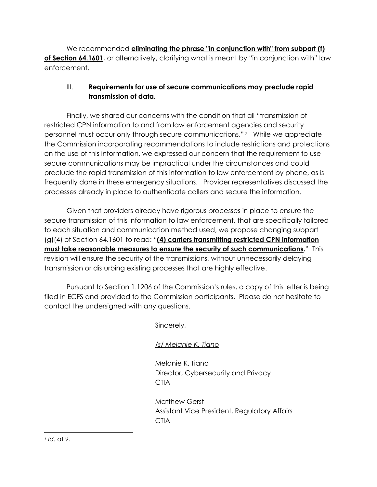We recommended **eliminating the phrase "in conjunction with" from subpart (f)**  of Section 64.1601, or alternatively, clarifying what is meant by "in conjunction with" law enforcement.

## III. **Requirements for use of secure communications may preclude rapid transmission of data.**

Finally, we shared our concerns with the condition that all "transmission of restricted CPN information to and from law enforcement agencies and security personnel must occur only through secure communications." <sup>7</sup> While we appreciate the Commission incorporating recommendations to include restrictions and protections on the use of this information, we expressed our concern that the requirement to use secure communications may be impractical under the circumstances and could preclude the rapid transmission of this information to law enforcement by phone, as is frequently done in these emergency situations. Provider representatives discussed the processes already in place to authenticate callers and secure the information.

Given that providers already have rigorous processes in place to ensure the secure transmission of this information to law enforcement, that are specifically tailored to each situation and communication method used, we propose changing subpart (g)(4) of Section 64.1601 to read: "**(4) carriers transmitting restricted CPN information must take reasonable measures to ensure the security of such communications.**"This revision will ensure the security of the transmissions, without unnecessarily delaying transmission or disturbing existing processes that are highly effective.

Pursuant to Section 1.1206 of the Commission's rules, a copy of this letter is being filed in ECFS and provided to the Commission participants. Please do not hesitate to contact the undersigned with any questions.

Sincerely,

*/s/ Melanie K. Tiano* 

Melanie K. Tiano Director, Cybersecurity and Privacy **CTIA** 

Matthew Gerst Assistant Vice President, Regulatory Affairs **CTIA**